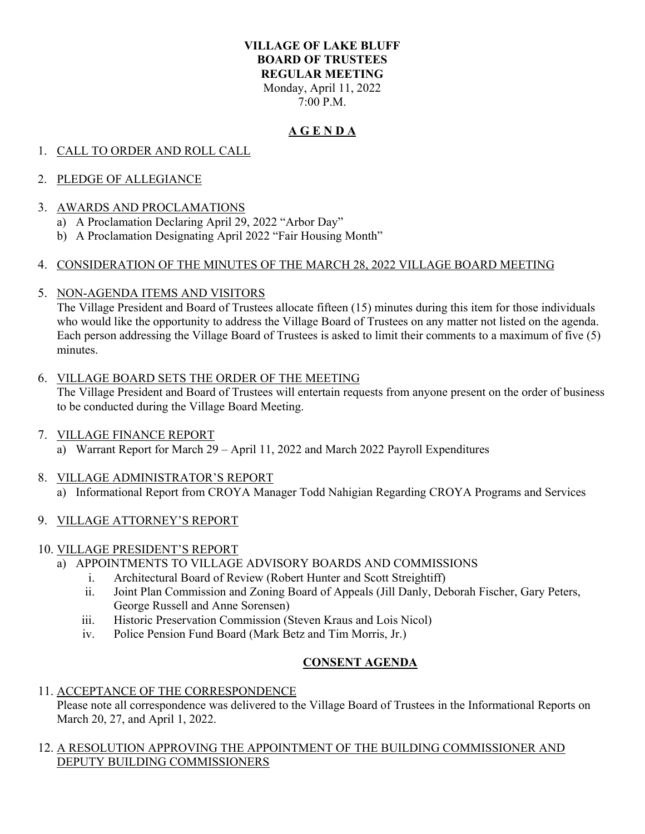#### **VILLAGE OF LAKE BLUFF BOARD OF TRUSTEES REGULAR MEETING**  Monday, April 11, 2022 7:00 P.M.

## **A G E N D A**

# 1. CALL TO ORDER AND ROLL CALL

## 2. PLEDGE OF ALLEGIANCE

#### 3. AWARDS AND PROCLAMATIONS

- a) A Proclamation Declaring April 29, 2022 "Arbor Day"
- b) A Proclamation Designating April 2022 "Fair Housing Month"

## 4. CONSIDERATION OF THE MINUTES OF THE MARCH 28, 2022 VILLAGE BOARD MEETING

5. NON-AGENDA ITEMS AND VISITORS

The Village President and Board of Trustees allocate fifteen (15) minutes during this item for those individuals who would like the opportunity to address the Village Board of Trustees on any matter not listed on the agenda. Each person addressing the Village Board of Trustees is asked to limit their comments to a maximum of five (5) minutes.

#### 6. VILLAGE BOARD SETS THE ORDER OF THE MEETING

The Village President and Board of Trustees will entertain requests from anyone present on the order of business to be conducted during the Village Board Meeting.

## 7. VILLAGE FINANCE REPORT

a) Warrant Report for March 29 – April 11, 2022 and March 2022 Payroll Expenditures

## 8. VILLAGE ADMINISTRATOR'S REPORT

a) Informational Report from CROYA Manager Todd Nahigian Regarding CROYA Programs and Services

## 9. VILLAGE ATTORNEY'S REPORT

#### 10. VILLAGE PRESIDENT'S REPORT

- a) APPOINTMENTS TO VILLAGE ADVISORY BOARDS AND COMMISSIONS
	- i. Architectural Board of Review (Robert Hunter and Scott Streightiff)
	- ii. Joint Plan Commission and Zoning Board of Appeals (Jill Danly, Deborah Fischer, Gary Peters, George Russell and Anne Sorensen)
	- iii. Historic Preservation Commission (Steven Kraus and Lois Nicol)
	- iv. Police Pension Fund Board (Mark Betz and Tim Morris, Jr.)

## **CONSENT AGENDA**

#### 11. ACCEPTANCE OF THE CORRESPONDENCE

Please note all correspondence was delivered to the Village Board of Trustees in the Informational Reports on March 20, 27, and April 1, 2022.

#### 12. A RESOLUTION APPROVING THE APPOINTMENT OF THE BUILDING COMMISSIONER AND DEPUTY BUILDING COMMISSIONERS